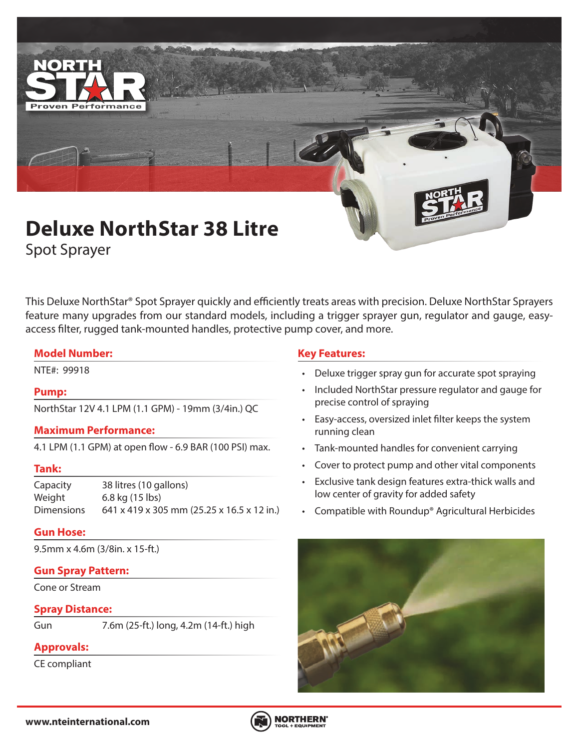

Spot Sprayer

This Deluxe NorthStar® Spot Sprayer quickly and efficiently treats areas with precision. Deluxe NorthStar Sprayers feature many upgrades from our standard models, including a trigger sprayer gun, regulator and gauge, easyaccess filter, rugged tank-mounted handles, protective pump cover, and more.

### **Model Number:**

### **Pump:**

NorthStar 12V 4.1 LPM (1.1 GPM) - 19mm (3/4in.) QC

### **Maximum Performance:**

4.1 LPM (1.1 GPM) at open flow - 6.9 BAR (100 PSI) max.

### **Tank:**

Capacity 38 litres (10 gallons) Weight 6.8 kg (15 lbs) Dimensions 641 x 419 x 305 mm (25.25 x 16.5 x 12 in.)

### **Gun Hose:**

9.5mm x 4.6m (3/8in. x 15-ft.)

# **Gun Spray Pattern:**

Cone or Stream

### **Spray Distance:**

Gun 7.6m (25-ft.) long, 4.2m (14-ft.) high

# **Approvals:**

CE compliant

# **Key Features:**

- NTE#: 99918 Deluxe trigger spray gun for accurate spot spraying
	- Included NorthStar pressure regulator and gauge for precise control of spraying
	- Easy-access, oversized inlet filter keeps the system running clean
	- Tank-mounted handles for convenient carrying
	- Cover to protect pump and other vital components
	- Exclusive tank design features extra-thick walls and low center of gravity for added safety
	- Compatible with Roundup® Agricultural Herbicides